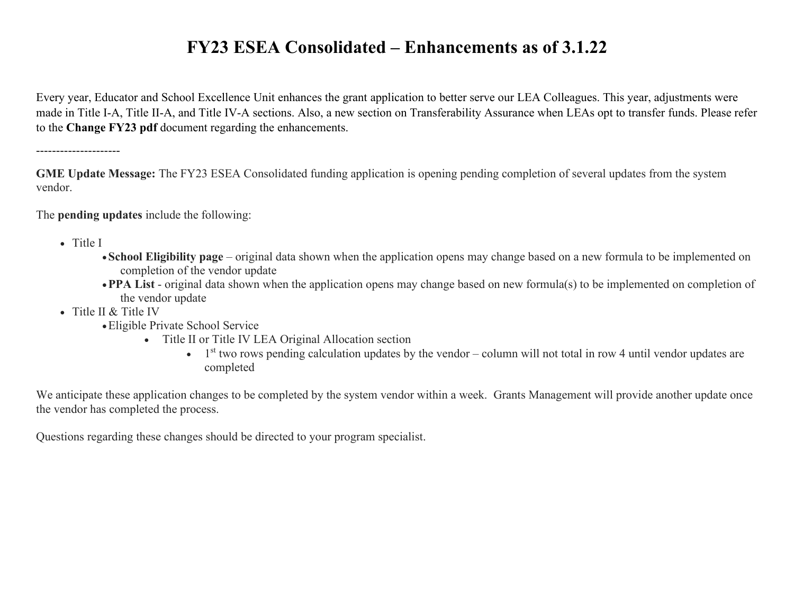Every year, Educator and School Excellence Unit enhances the grant application to better serve our LEA Colleagues. This year, adjustments were made in Title I-A, Title II-A, and Title IV-A sections. Also, a new section on Transferability Assurance when LEAs opt to transfer funds. Please refer to the **Change FY23 pdf** document regarding the enhancements.

---------------------

**GME Update Message:** The FY23 ESEA Consolidated funding application is opening pending completion of several updates from the system vendor.

The **pending updates** include the following:

- Title I
	- •**School Eligibility page** original data shown when the application opens may change based on a new formula to be implemented on completion of the vendor update
	- •**PPA List** original data shown when the application opens may change based on new formula(s) to be implemented on completion of the vendor update
- Title II & Title IV
	- •Eligible Private School Service
		- Title II or Title IV LEA Original Allocation section
			- $\bullet$  1<sup>st</sup> two rows pending calculation updates by the vendor column will not total in row 4 until vendor updates are completed

We anticipate these application changes to be completed by the system vendor within a week. Grants Management will provide another update once the vendor has completed the process.

Questions regarding these changes should be directed to your program specialist.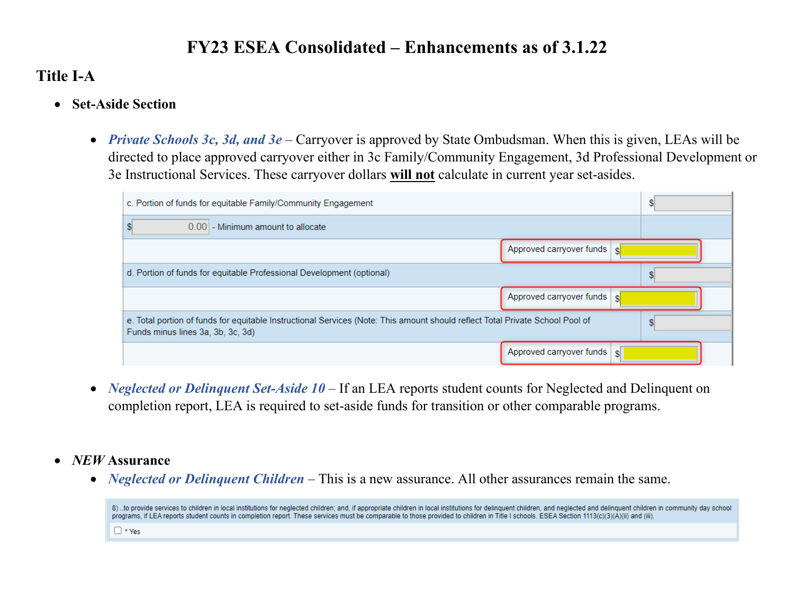## **Title I-A**

- **Set-Aside Section** 
	- *Private Schools 3c, 3d, and 3e* Carryover is approved by State Ombudsman. When this is given, LEAs will be directed to place approved carryover either in 3c Family/Community Engagement, 3d Professional Development or 3e Instructional Services. These carryover dollars **will not** calculate in current year set-asides.

| c. Portion of funds for equitable Family/Community Engagement                                                                                                      |                              |  |  |
|--------------------------------------------------------------------------------------------------------------------------------------------------------------------|------------------------------|--|--|
| 0.00 - Minimum amount to allocate                                                                                                                                  |                              |  |  |
| Approved carryover funds                                                                                                                                           |                              |  |  |
| d. Portion of funds for equitable Professional Development (optional)                                                                                              |                              |  |  |
|                                                                                                                                                                    | Approved carryover funds s   |  |  |
| e. Total portion of funds for equitable Instructional Services (Note: This amount should reflect Total Private School Pool of<br>Funds minus lines 3a, 3b, 3c, 3d) |                              |  |  |
|                                                                                                                                                                    | Approved carryover funds   s |  |  |

- *Neglected or Delinquent Set-Aside 10* If an LEA reports student counts for Neglected and Delinquent on completion report, LEA is required to set-aside funds for transition or other comparable programs.
- *NEW* **Assurance**
	- *Neglected or Delinquent Children* This is a new assurance. All other assurances remain the same.

8) ..to provide services to children in local institutions for neglected children; and, if appropriate children in local institutions for delinquent children, and neglected and delinquent children in community day school programs, if LEA reports student counts in completion report. These services must be comparable to those provided to children in Title I schools. ESEA Section 1113(c)(3)(A)(ii) and (iii).  $\Box$  \* Yes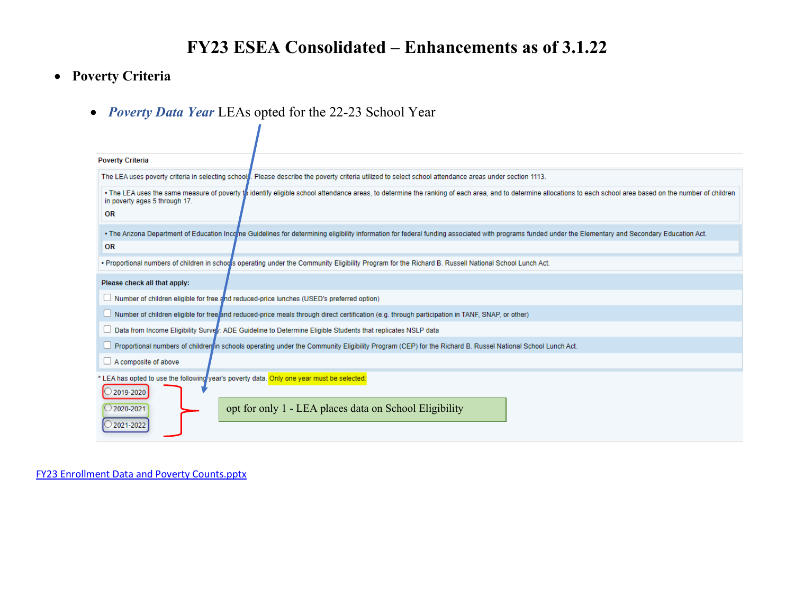### • **Poverty Criteria**

• *Poverty Data Year* LEAs opted for the 22-23 School Year

| <b>Poverty Criteria</b>                                                                                                                                                                                                                                         |  |  |  |  |
|-----------------------------------------------------------------------------------------------------------------------------------------------------------------------------------------------------------------------------------------------------------------|--|--|--|--|
| The LEA uses poverty criteria in selecting school. Please describe the poverty criteria utilized to select school attendance areas under section 1113.                                                                                                          |  |  |  |  |
| • The LEA uses the same measure of poverty the identify eligible school attendance areas, to determine the ranking of each area, and to determine allocations to each school area based on the number of children<br>in poverty ages 5 through 17.<br><b>OR</b> |  |  |  |  |
| . The Arizona Department of Education Income Guidelines for determining eligibility information for federal funding associated with programs funded under the Elementary and Secondary Education Act.                                                           |  |  |  |  |
| <b>OR</b>                                                                                                                                                                                                                                                       |  |  |  |  |
| • Proportional numbers of children in schools operating under the Community Eligibility Program for the Richard B. Russell National School Lunch Act.                                                                                                           |  |  |  |  |
| Please check all that apply:                                                                                                                                                                                                                                    |  |  |  |  |
| $\Box$ Number of children eligible for free and reduced-price lunches (USED's preferred option)                                                                                                                                                                 |  |  |  |  |
| $\Box$ Number of children eligible for free/and reduced-price meals through direct certification (e.g. through participation in TANF, SNAP, or other)                                                                                                           |  |  |  |  |
| □ Data from Income Eligibility Survery: ADE Guideline to Determine Eligible Students that replicates NSLP data                                                                                                                                                  |  |  |  |  |
| □ Proportional numbers of children in schools operating under the Community Eligibility Program (CEP) for the Richard B. Russel National School Lunch Act.                                                                                                      |  |  |  |  |
| $\Box$ A composite of above                                                                                                                                                                                                                                     |  |  |  |  |
| * LEA has opted to use the following year's poverty data. Only one year must be selected:<br>2019-2020<br>opt for only 1 - LEA places data on School Eligibility<br>2020-2021<br>2021-2022                                                                      |  |  |  |  |

[FY23 Enrollment Data and Poverty Counts.pptx](https://adecloud-my.sharepoint.com/:p:/g/personal/mary_loehnis_azed_gov/EXhYqwmf7uNEhKkrFdny_7ABiJzHMZYEahQ7Y7WxZY_i-w?email=Sue.Edman%40azed.gov&e=q99qfN)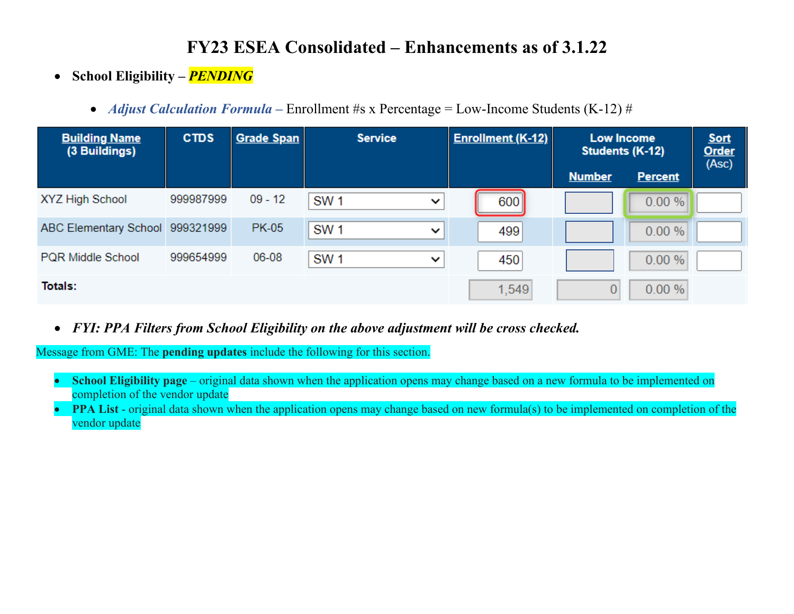- **School Eligibility –** *PENDING*
	- *Adjust Calculation Formula* Enrollment #s x Percentage = Low-Income Students (K-12) #

| <b>Building Name</b><br>(3 Buildings) | <b>CTDS</b> | <b>Grade Span</b> | <b>Service</b>                  | <b>Enrollment (K-12)</b><br><b>Low Income</b><br>Students (K-12) |               |                | <b>Sort</b><br>Order<br>(Asc) |
|---------------------------------------|-------------|-------------------|---------------------------------|------------------------------------------------------------------|---------------|----------------|-------------------------------|
|                                       |             |                   |                                 |                                                                  | <b>Number</b> | <b>Percent</b> |                               |
| XYZ High School                       | 999987999   | $09 - 12$         | SW <sub>1</sub><br>$\checkmark$ | 600                                                              |               | 0.00 %         |                               |
| ABC Elementary School 999321999       |             | <b>PK-05</b>      | SW <sub>1</sub><br>$\checkmark$ | 499                                                              |               | 0.00 %         |                               |
| <b>PQR Middle School</b>              | 999654999   | 06-08             | SW <sub>1</sub><br>$\checkmark$ | 450                                                              |               | 0.00 %         |                               |
| Totals:                               |             |                   |                                 | 1,549                                                            |               | 0.00%          |                               |

• *FYI: PPA Filters from School Eligibility on the above adjustment will be cross checked.* 

Message from GME: The **pending updates** include the following for this section.

- **School Eligibility page** original data shown when the application opens may change based on a new formula to be implemented on completion of the vendor update
- **PPA List** original data shown when the application opens may change based on new formula(s) to be implemented on completion of the vendor update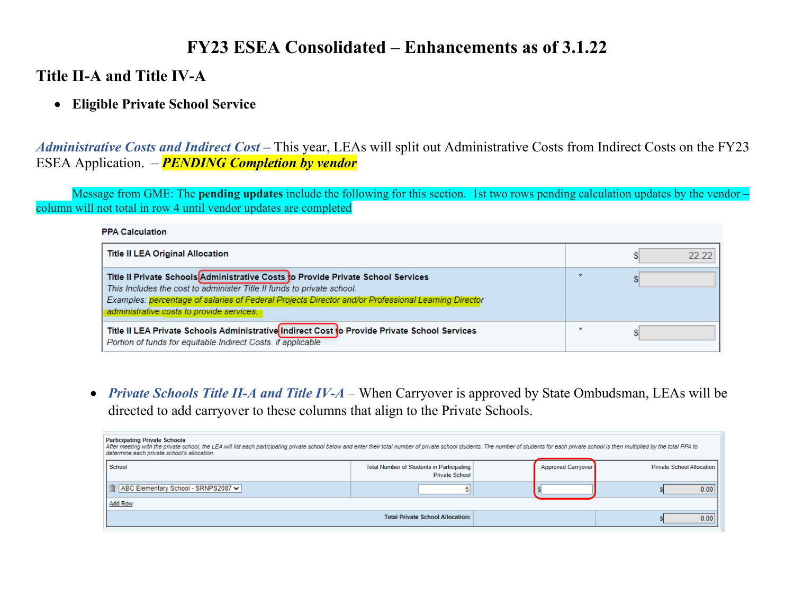### **Title II-A and Title IV-A**

### • **Eligible Private School Service**

*Administrative Costs and Indirect Cost* **–** This year, LEAs will split out Administrative Costs from Indirect Costs on the FY23 ESEA Application. – *PENDING Completion by vendor*

Message from GME: The **pending updates** include the following for this section. 1st two rows pending calculation updates by the vendor – column will not total in row 4 until vendor updates are completed

#### **PPA Calculation**

| <b>Title II LEA Original Allocation</b>                                                                                                                                                                                                                                                                        | 22.22 |
|----------------------------------------------------------------------------------------------------------------------------------------------------------------------------------------------------------------------------------------------------------------------------------------------------------------|-------|
| Title II Private Schools Administrative Costs to Provide Private School Services<br>This Includes the cost to administer Title II funds to private school.<br>Examples: percentage of salaries of Federal Projects Director and/or Professional Learning Director<br>administrative costs to provide services. |       |
| Title II LEA Private Schools Administrative Indirect Cost to Provide Private School Services<br>Portion of funds for equitable Indirect Costs, if applicable                                                                                                                                                   |       |

• *Private Schools Title II-A and Title IV-A* – When Carryover is approved by State Ombudsman, LEAs will be directed to add carryover to these columns that align to the Private Schools.

| <b>Participating Private Schools</b><br>After meeting with the private school, the LEA will list each participating private school below and enter their total number of private school students. The number of students for each private school is then multiplied by<br>determine each private school's allocation. |                                                                    |                    |                           |  |
|-----------------------------------------------------------------------------------------------------------------------------------------------------------------------------------------------------------------------------------------------------------------------------------------------------------------------|--------------------------------------------------------------------|--------------------|---------------------------|--|
| School                                                                                                                                                                                                                                                                                                                | Total Number of Students in Participating<br><b>Private School</b> | Approved Carryover | Private School Allocation |  |
| ABC Elementary School - SRNPS2087 v                                                                                                                                                                                                                                                                                   |                                                                    |                    | 0.00                      |  |
| <b>Add Row</b>                                                                                                                                                                                                                                                                                                        |                                                                    |                    |                           |  |
| <b>Total Private School Allocation:</b>                                                                                                                                                                                                                                                                               |                                                                    |                    | 0.00                      |  |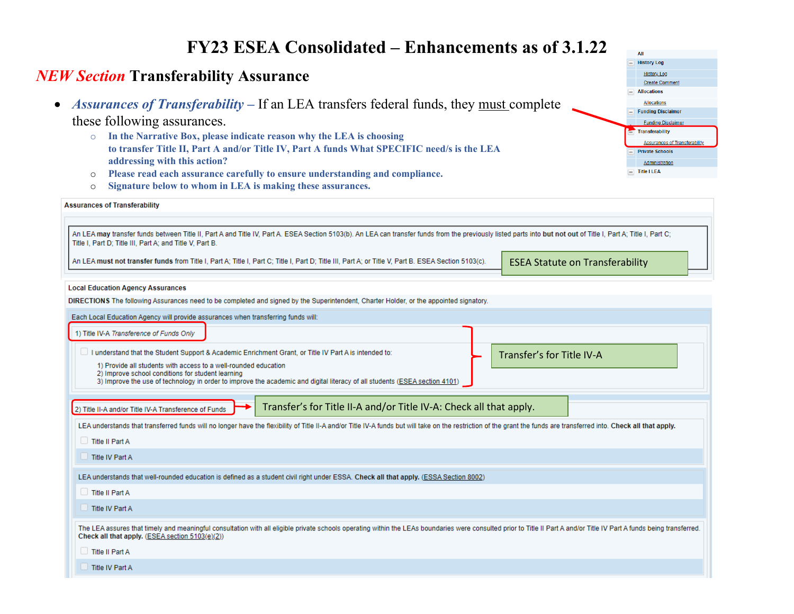### *NEW Section* **Transferability Assurance**

• *Assurances of Transferability* – If an LEA transfers federal funds, they must complete

#### these following assurances.

- o **In the Narrative Box, please indicate reason why the LEA is choosing to transfer Title II, Part A and/or Title IV, Part A funds What SPECIFIC need/s is the LEA addressing with this action?**
- o **Please read each assurance carefully to ensure understanding and compliance.**
- o **Signature below to whom in LEA is making these assurances.**

#### **Assurances of Transferability**

An LEA may transfer funds between Title II, Part A and Title IV, Part A. ESEA Section 5103(b). An LEA can transfer funds from the previously listed parts into but not out of Title I, Part A; Title I, Part A; Title I, Part Title I, Part D; Title III, Part A; and Title V, Part B.

An LEA must not transfer funds from Title I, Part A; Title I, Part C; Title I, Part D; Title III, Part A; or Title V, Part B. ESEA Section 5103(c).

ESEA Statute on Transferability

All  $\overline{\phantom{a}}$  History Log **History Log** Create Commer  $\Box$  Allocations Allocations **Funding Disclaimer Funding Disclaim** Transferability

**Assurances of Transferability Private Schools** Administration  $=$  Title I LEA

#### **Local Education Agency Assurances**

DIRECTIONS The following Assurances need to be completed and signed by the Superintendent, Charter Holder, or the appointed signatory.

Each Local Education Agency will provide assurances when transferring funds will: 1) Title IV-A Transference of Funds Only I understand that the Student Support & Academic Enrichment Grant, or Title IV Part A is intended to: Transfer's for Title IV-A 1) Provide all students with access to a well-rounded education 2) Improve school conditions for student learning 3) Improve the use of technology in order to improve the academic and digital literacy of all students (ESEA section 4101) Transfer's for Title II-A and/or Title IV-A: Check all that apply.2) Title II-A and/or Title IV-A Transference of Funds LEA understands that transferred funds will no longer have the flexibility of Title II-A and/or Title IV-A funds but will take on the restriction of the grant the funds are transferred into. Check all that apply.  $\Box$  Title II Part A  $\Box$  Title IV Part A LEA understands that well-rounded education is defined as a student civil right under ESSA. Check all that apply. (ESSA Section 8002)  $\Box$  Title II Part A Title IV Part A The LEA assures that timely and meaningful consultation with all eligible private schools operating within the LEAs boundaries were consulted prior to Title II Part A and/or Title IV Part A funds being transferred.

Check all that apply. (ESEA section 5103(e)(2))

 $\Box$  Title II Part A

Title IV Part A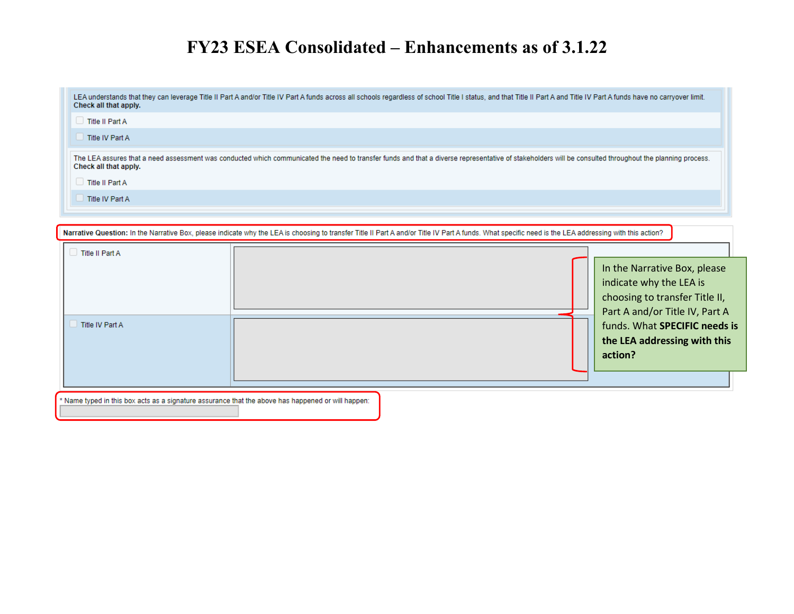| LEA understands that they can leverage Title II Part A and/or Title IV Part A funds across all schools regardless of school Title I status, and that Title II Part A and Title IV Part A funds have no carryover limit.<br>Check all that apply. |
|--------------------------------------------------------------------------------------------------------------------------------------------------------------------------------------------------------------------------------------------------|
| $\Box$ Title II Part A                                                                                                                                                                                                                           |
| Title IV Part A                                                                                                                                                                                                                                  |
| The LEA assures that a need assessment was conducted which communicated the need to transfer funds and that a diverse representative of stakeholders will be consulted throughout the planning process.<br>Check all that apply.                 |
| $\Box$ Title II Part A                                                                                                                                                                                                                           |
| Title IV Part A                                                                                                                                                                                                                                  |

| Narrative Question: In the Narrative Box, please indicate why the LEA is choosing to transfer Title II Part A and/or Title IV Part A funds. What specific need is the LEA addressing with this action? |  |                                                                                                                                                                     |  |  |  |
|--------------------------------------------------------------------------------------------------------------------------------------------------------------------------------------------------------|--|---------------------------------------------------------------------------------------------------------------------------------------------------------------------|--|--|--|
| $\Box$ Title II Part A                                                                                                                                                                                 |  |                                                                                                                                                                     |  |  |  |
| Title IV Part A                                                                                                                                                                                        |  | In the Narrative Box, please<br>indicate why the LEA is<br>choosing to transfer Title II,<br>Part A and/or Title IV, Part A<br>funds. What <b>SPECIFIC</b> needs is |  |  |  |
|                                                                                                                                                                                                        |  | the LEA addressing with this<br>action?                                                                                                                             |  |  |  |
|                                                                                                                                                                                                        |  |                                                                                                                                                                     |  |  |  |
| * Name typed in this box acts as a signature assurance that the above has happened or will happen:                                                                                                     |  |                                                                                                                                                                     |  |  |  |